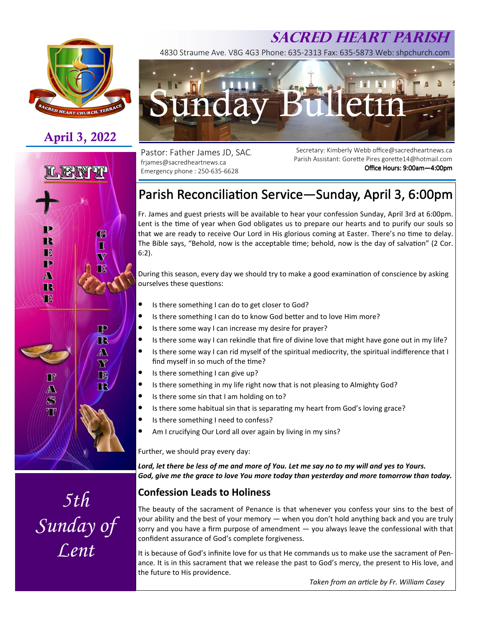# **SACRED HEART PARISH**



## **April 3, 2022**



Pastor: Father James JD, SAC. frjames@sacredheartnews.ca Emergency phone : 250-635-6628

Secretary: Kimberly Webb office@sacredheartnews.ca Parish Assistant: Gorette Pires gorette14@hotmail.com Office Hours: 9:00am-4:00pm

# Parish Reconciliation Service-Sunday, April 3, 6:00pm

4830 Straume Ave. V8G 4G3 Phone: 635-2313 Fax: 635-5873 Web: shpchurch.com

Sunday Bulletin

Fr. James and guest priests will be available to hear your confession Sunday, April 3rd at 6:00pm. Lent is the time of year when God obligates us to prepare our hearts and to purify our souls so that we are ready to receive Our Lord in His glorious coming at Easter. There's no time to delay. The Bible says, "Behold, now is the acceptable time; behold, now is the day of salvation" (2 Cor. 6:2).

During this season, every day we should try to make a good examination of conscience by asking ourselves these questions:

- Is there something I can do to get closer to God?
- Is there something I can do to know God better and to love Him more?
- Is there some way I can increase my desire for prayer?
- Is there some way I can rekindle that fire of divine love that might have gone out in my life?
- Is there some way I can rid myself of the spiritual mediocrity, the spiritual indifference that I find myself in so much of the time?
- Is there something I can give up?
- Is there something in my life right now that is not pleasing to Almighty God?
- Is there some sin that I am holding on to?
- Is there some habitual sin that is separating my heart from God's loving grace?
- Is there something I need to confess?
- Am I crucifying Our Lord all over again by living in my sins?

Further, we should pray every day:

*Lord, let there be less of me and more of You. Let me say no to my will and yes to Yours. God, give me the grace to love You more today than yesterday and more tomorrow than today.* 

### **Confession Leads to Holiness**

The beauty of the sacrament of Penance is that whenever you confess your sins to the best of your ability and the best of your memory — when you don't hold anything back and you are truly sorry and you have a firm purpose of amendment — you always leave the confessional with that confident assurance of God's complete forgiveness.

It is because of God's infinite love for us that He commands us to make use the sacrament of Penance. It is in this sacrament that we release the past to God's mercy, the present to His love, and the future to His providence.

*Taken from an arcle by Fr. William Casey*